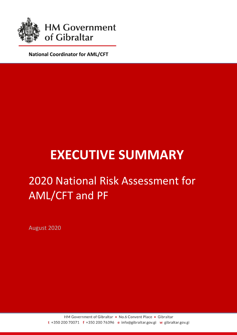

**National Coordinator for AML/CFT**

# **EXECUTIVE SUMMARY**

# 2020 National Risk Assessment for AML/CFT and PF

August 2020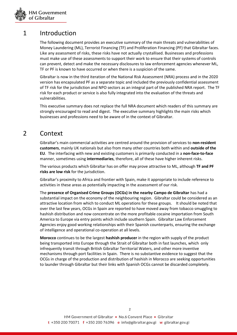

### 1 Introduction

The following document provides an executive summary of the main threats and vulnerabilities of Money Laundering (ML), Terrorist Financing (TF) and Proliferation Financing (PF) that Gibraltar faces. Like any assessment of risks, these risks have not actually crystallised. Businesses and professions must make use of these assessments to support their work to ensure that their systems of controls can prevent, detect and make the necessary disclosures to law enforcement agencies whenever ML, TF or PF is known to have occurred or when there is a suspicion of the same.

Gibraltar is now in the third iteration of the National Risk Assessment (NRA) process and in the 2020 version has encapsulated PF as a separate topic and included the previously confidential assessment of TF risk for the jurisdiction and NPO sectors as an integral part of the published NRA report. The TF risk for each product or service is also fully integrated into the evaluation of the threats and vulnerabilities.

This executive summary does not replace the full NRA document which readers of this summary are strongly encouraged to read and digest. The executive summary highlights the main risks which businesses and professions need to be aware of in the context of Gibraltar.

#### 2 Context

Gibraltar's main commercial activities are centred around the provision of services to **non-resident customers**, mainly UK nationals but also from many other countries both within and **outside of the EU**. The interfacing with new and existing customers is primarily conducted in a **non-face-to-face** manner, sometimes using **intermediaries**, therefore, all of these have higher inherent risks.

The various products which Gibraltar has on offer may prove attractive to ML, although **TF and PF risks are low risk** for the jurisdiction.

Gibraltar's proximity to Africa and frontier with Spain, make it appropriate to include reference to activities in these areas as potentially impacting in the assessment of our risk.

The **presence of Organised Crime Groups (OCGs) in the nearby Campo de Gibraltar** has had a substantial impact on the economy of the neighbouring region. Gibraltar could be considered as an attractive location from which to conduct ML operations for these groups. It should be noted that over the last few years, OCGs in Spain are reported to have moved away from tobacco smuggling to hashish distribution and now concentrate on the more profitable cocaine importation from South America to Europe via entry points which include southern Spain. Gibraltar Law Enforcement Agencies enjoy good working relationships with their Spanish counterparts, ensuring the exchange of intelligence and operational co-operation at all levels.

**Morocco** continues to be the largest **hashish producer** in the region with supply of the product being transported into Europe through the Strait of Gibraltar both in fast launches, which only infrequently transit through British Gibraltar Territorial Waters, and other more inventive mechanisms through port facilities in Spain. There is no substantive evidence to suggest that the OCGs in charge of the production and distribution of hashish in Morocco are seeking opportunities to launder through Gibraltar but their links with Spanish OCGs cannot be discarded completely.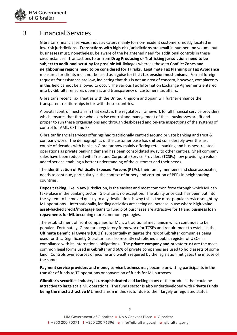

#### 3 Financial Services

Gibraltar's financial services industry caters mainly for non-resident customers mostly located in low-risk jurisdictions. **Transactions with high-risk jurisdictions are small** in number and volume but businesses must, nonetheless, be aware of the heightened need for additional controls in these circumstances. Transactions to or from **Drug Producing or Trafficking jurisdictions need to be subject to additional scrutiny for possible ML** linkages whereas those to **Conflict Zones and neighbouring regions need to be considered for TF risks**. Legitimate **Tax Planning** or **Tax Avoidance** measures for clients must not be used as a guise for **illicit tax evasion mechanisms**. Formal foreign requests for assistance are low, indicating that this is not an area of concern, however, complacency in this field cannot be allowed to occur. The various Tax Information Exchange Agreements entered into by Gibraltar ensures openness and transparency of customers tax affairs.

Gibraltar's recent Tax Treaties with the United Kingdom and Spain will further enhance the transparent relationships in tax with these countries.

A pivotal control mechanism that exists is the regulatory framework for all financial service providers which ensures that those who exercise control and management of these businesses are fit and proper to run these organisations and through desk-based and on-site inspections of the systems of control for AML, CFT and PF.

Gibraltar financial services offerings had traditionally centred around private banking and trust & company work. The demographics of the customer base has shifted considerably over the last couple of decades with banks in Gibraltar now mainly offering retail banking and business-related operations as private banking demand has been consolidated away to other centres. Shelf company sales have been reduced with Trust and Corporate Service Providers (TCSPs) now providing a valueadded service enabling a better understanding of the customer and their needs.

The **identification of Politically Exposed Persons (PEPs)**, their family members and close associates, needs to continue, particularly in the context of bribery and corruption of PEPs in neighbouring countries.

**Deposit taking**, like in any jurisdiction, is the easiest and most common form through which ML can take place in the banking sector. Gibraltar is no exception. The ability once cash has been put into the system to be moved quickly to any destination, is why this is the most popular service sought by ML operations. Internationally, lending activities are seeing an increase in use where **high-value asset-backed credit/mortgage loans** to fund plot purchases are attractive for **TF** and **business loan repayments for ML** becoming more common typologies.

The establishment of front companies for ML is a traditional mechanism which continues to be popular. Fortunately, Gibraltar's regulatory framework for TCSPs and requirement to establish the **Ultimate Beneficial Owners (UBOs)** substantially mitigates the risk of Gibraltar companies being used for this. Significantly Gibraltar has also recently established a public register of UBOs in compliance with its International obligations.. The **private company and private trust** are the most common legal forms used in Gibraltar and 66% of private companies are used to hold assets of some kind. Controls over sources of income and wealth required by the legislation mitigates the misuse of the same.

**Payment service providers and money service business** may become unwitting participants in the transfer of funds to TF operations or conversion of funds for ML purposes.

**Gibraltar's securities industry is unsophisticated** and lacking many of the products that could be attractive to large scale ML operations. The funds sector is also underdeveloped with **Private Funds being the most attractive ML** mechanism in this sector due to their largely unregulated status.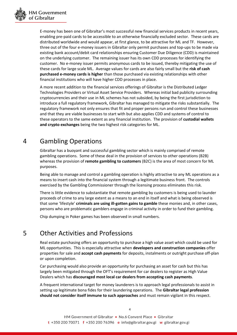

E-money has been one of Gibraltar's most successful new financial services products in recent years, enabling pre-paid cards to be accessible to an otherwise financially excluded sector. These cards are distributed worldwide and would appear, at first glance, to be attractive for ML and TF. However, three out of the four e-money issuers in Gibraltar only permit purchases and top-ups to be made via existing bank account/debit card relationships ensuring Customer Due Diligence (CDD) is maintained on the underlying customer. The remaining issuer has its own CDD processes for identifying the customer. No e-money issuer permits anonymous cards to be issued, thereby mitigating the use of these cards for large scale ML. Average values for cards are also fairly small but the **risk of cash purchased e-money cards is higher** than those purchased via existing relationships with other financial institutions who will have higher CDD processes in place.

A more recent addition to the financial services offerings of Gibraltar is the Distributed Ledger Technologies Providers or Virtual Asset Service Providers. Whereas initial bad publicity surrounding cryptocurrencies and their use in ML schemes has not subsided, by being the first jurisdiction to introduce a full regulatory framework, Gibraltar has managed to mitigate the risks substantially. The regulatory framework not only ensures that fit and proper persons run and control these businesses and that they are viable businesses to start with but also applies CDD and systems of control to these operators to the same extent as any financial institution. The provision of **custodial wallets and crypto exchanges** being the two highest risk categories for ML.

# 4 Gambling Operations

Gibraltar has a buoyant and successful gambling sector which is mainly comprised of remote gambling operations. Some of these deal in the provision of services to other operations (B2B) whereas the provision of **remote gambling to customers** (B2C) is the area of most concern for ML purposes.

Being able to manage and control a gambling operation is highly attractive to any ML operations as a means to insert cash into the financial system through a legitimate business front. The controls exercised by the Gambling Commissioner through the licensing process eliminates this risk.

There is little evidence to substantiate that remote gambling by customers is being used to launder proceeds of crime to any large extent as a means to an end in itself and what is being observed is that some 'lifestyle' **criminals are using ill-gotten gains to gamble** these monies and, in other cases, persons who are problematic gamblers engage in criminal activity in order to fund their gambling.

Chip dumping in Poker games has been observed in small numbers.

# 5 Other Activities and Professions

Real estate purchasing offers an opportunity to purchase a high value asset which could be used for ML opportunities. This is especially attractive when **developers and construction companies** offer properties for sale and **accept cash payments** for deposits, instalments or outright purchase off-plan or upon completion.

Car purchasing would also provide an opportunity for purchasing an asset for cash but this has largely been mitigated through the OFT's requirement for car dealers to register as High Value Dealers which has **discouraged most local car dealers from accepting cash payments**.

A frequent international target for money launderers is to approach legal professionals to assist in setting up legitimate bona fides for their laundering operations. The **Gibraltar legal profession should not consider itself immune to such approaches** and must remain vigilant in this respect.

4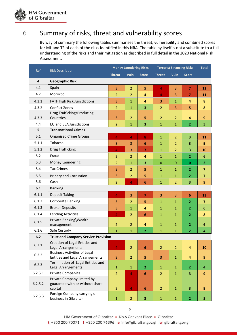

## 6 Summary of risks, threat and vulnerability scores

By way of summary the following tables summarises the threat, vulnerability and combined scores for ML and TF of each of the risks identified in this NRA. The table by itself is not a substitute to a full understanding of the risks and their mitigation as described in full detail in the 2020 National Risk Assessment.

| Ref     | <b>Risk Description</b>                                                       | <b>Money Laundering Risks</b> |                |                         | <b>Terrorist Financing Risks</b> |                |                         | <b>Total</b>            |
|---------|-------------------------------------------------------------------------------|-------------------------------|----------------|-------------------------|----------------------------------|----------------|-------------------------|-------------------------|
|         |                                                                               | <b>Threat</b>                 | <b>Vuln</b>    | <b>Score</b>            | <b>Threat</b>                    | <b>Vuln</b>    | <b>Score</b>            |                         |
| 4       | <b>Geographic Risk</b>                                                        |                               |                |                         |                                  |                |                         |                         |
| 4.1     | Spain                                                                         | 3                             | $\overline{2}$ | 5                       | $\overline{4}$                   | 3              | $\overline{7}$          | 12                      |
| 4.2     | Morocco                                                                       | $\overline{2}$                | $\overline{2}$ | 4                       | $\overline{4}$                   | 3              | $\overline{7}$          | 11                      |
| 4.3.1   | FATF High Risk Jurisdictions                                                  | 3                             | $\mathbf{1}$   | 4                       | 3                                | $\mathbf{1}$   | 4                       | 8                       |
| 4.3.2   | <b>Conflict Zones</b>                                                         | $\overline{2}$                | $\mathbf{1}$   | 3                       | $\overline{2}$                   | 3              | 5                       | 8                       |
|         | Drug Trafficking/Producing                                                    |                               |                |                         |                                  |                |                         |                         |
| 4.3.3   | Countries                                                                     | 3                             | $\overline{2}$ | 5                       | $\overline{2}$                   | $\overline{2}$ | 4                       | 9                       |
| 4.4     | EU and EEA Jurisdictions                                                      | $\overline{2}$                | 1              | 3                       | $\mathbf{1}$                     | $\mathbf{1}$   | $\overline{2}$          | 5                       |
| 5       | <b>Transnational Crimes</b>                                                   |                               |                |                         |                                  |                |                         |                         |
| 5.1     | <b>Organised Crime Groups</b>                                                 | $\overline{4}$                | 4              | 8                       | $\mathbf{1}$                     | $\overline{2}$ | 3                       | 11                      |
| 5.1.1   | Tobacco                                                                       | 3                             | 3              | 6                       | $\mathbf{1}$                     | $\overline{2}$ | 3                       | 9                       |
| 5.1.2   | <b>Drug Trafficking</b>                                                       | $\overline{4}$                | 3              | $\overline{7}$          | $\mathbf{1}$                     | $\overline{2}$ | 3                       | 10                      |
| 5.2     | Fraud                                                                         | $\overline{2}$                | $\overline{2}$ | $\overline{\mathbf{4}}$ | $\mathbf{1}$                     | $\mathbf{1}$   | $\overline{2}$          | 6                       |
| 5.3     | Money Laundering                                                              | $\overline{2}$                | $\mathbf{1}$   | $\overline{\mathbf{3}}$ | $\pmb{0}$                        | 0              | $\pmb{0}$               | 3                       |
| 5.4     | <b>Tax Crimes</b>                                                             | 3                             | $\overline{2}$ | 5                       | $\mathbf{1}$                     | $\mathbf{1}$   | $\overline{2}$          | $\overline{\mathbf{z}}$ |
| 5.5     | <b>Bribery and Corruption</b>                                                 | 3                             | 2              | 5                       | $\mathbf{1}$                     | $\mathbf{1}$   | $\overline{2}$          | $\overline{7}$          |
| 5.6     | Cash                                                                          | $\overline{2}$                | 4              | 6                       | $\mathbf{1}$                     | $\overline{2}$ | 3                       | 9                       |
| 6.1     | <b>Banking</b>                                                                |                               |                |                         |                                  |                |                         |                         |
| 6.1.1   | <b>Deposit Taking</b>                                                         | $\overline{4}$                | 3              | $\overline{7}$          | 3                                | 3              | $6\phantom{1}$          | 13                      |
| 6.1.2   | <b>Corporate Banking</b>                                                      | 3                             | $\overline{2}$ | 5                       | $\mathbf{1}$                     | $\mathbf{1}$   | $\overline{2}$          | $\overline{\mathbf{z}}$ |
| 6.1.3   | <b>Broker Deposits</b>                                                        | 3                             | $\mathbf{1}$   | $\overline{4}$          | $\mathbf{1}$                     | $\mathbf{1}$   | 2                       | 6                       |
| 6.1.4   | <b>Lending Activities</b>                                                     | 4                             | $\overline{2}$ | 6                       | $\mathbf{1}$                     | $\mathbf{1}$   | $\overline{2}$          | 8                       |
| 6.1.5   | Private Banking\Wealth                                                        |                               |                |                         |                                  |                |                         |                         |
|         | management                                                                    | $\overline{2}$                | $\overline{2}$ | $\overline{4}$          | $\mathbf{1}$                     | $\mathbf{1}$   | $\overline{2}$          | 6                       |
| 6.1.6   | Safe Custody                                                                  | $\mathbf{1}$                  | $\mathbf{1}$   | $\overline{2}$          | $\mathbf{1}$                     | $\mathbf{1}$   | $\overline{2}$          | 4                       |
|         | 6.2<br><b>Trust and Company Service Provision</b>                             |                               |                |                         |                                  |                |                         |                         |
| 6.2.1   | Creation of Legal Entities and<br>Legal Arrangements                          | $\overline{4}$                | $\overline{2}$ | $\boldsymbol{6}$        | $\overline{2}$                   | $\overline{2}$ | $\overline{\mathbf{4}}$ | 10                      |
| 6.2.2   | <b>Business Activities of Legal</b><br><b>Entities and Legal Arrangements</b> | 3                             | $\overline{2}$ | 5                       | 3                                | $\mathbf{1}$   | 4                       | $\overline{9}$          |
| 6.2.3   | Termination of Legal Entities and<br>Legal Arrangements                       | $\mathbf 1$                   | $\mathbf{1}$   | $\overline{2}$          | $\mathbf{1}$                     | $\mathbf{1}$   | $\overline{\mathbf{2}}$ | 4                       |
| 6.2.5.1 | <b>Private Companies</b>                                                      |                               |                |                         |                                  |                |                         |                         |
|         | Private Company limited by                                                    | $\overline{2}$                | $\overline{4}$ | $6\phantom{1}6$         | $\overline{2}$                   | $\mathbf{1}$   | 3                       | 9                       |
| 6.2.5.2 | guarantee with or without share<br>capital                                    | $\overline{2}$                | $\overline{4}$ | 6                       | $\overline{2}$                   | $\mathbf{1}$   | 3                       | 9                       |
|         | Foreign Company carrying on                                                   |                               |                |                         |                                  |                |                         |                         |
| 6.2.5.3 | business in Gibraltar                                                         | $\mathbf 1$                   | $\overline{2}$ | $\overline{\mathbf{3}}$ | $\mathbf 1$                      | $\mathbf{1}$   | $\overline{2}$          | 5                       |

5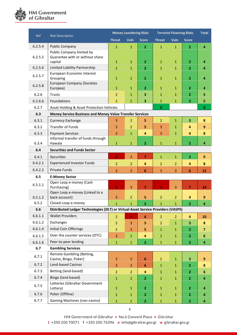

| Ref     | <b>Risk Description</b>                                                          | <b>Money Laundering Risks</b> |                |                 | <b>Terrorist Financing Risks</b> |                |                         | <b>Total</b>     |
|---------|----------------------------------------------------------------------------------|-------------------------------|----------------|-----------------|----------------------------------|----------------|-------------------------|------------------|
|         |                                                                                  | <b>Threat</b>                 | <b>Vuln</b>    | <b>Score</b>    | <b>Threat</b>                    | Vuln           | <b>Score</b>            |                  |
| 6.2.5.4 | <b>Public Company</b>                                                            | $\mathbf{1}$                  | $\mathbf{1}$   | $\overline{2}$  | $\mathbf{1}$                     | $\mathbf{1}$   | $\overline{2}$          | $\overline{4}$   |
| 6.2.5.5 | Public Company limited by<br>Guarantee with or without share                     |                               |                |                 |                                  |                |                         |                  |
|         | capital                                                                          | $\mathbf{1}$                  | $\mathbf{1}$   | $\overline{2}$  | $\mathbf{1}$                     | $\mathbf{1}$   | $\overline{2}$          | $\overline{4}$   |
| 6.2.5.6 | Limited Liability Partnership                                                    | $\mathbf{1}$                  | $\mathbf{1}$   | $\overline{2}$  | $\mathbf{1}$                     | $\mathbf{1}$   | $\overline{2}$          | 4                |
| 6.2.5.7 | European Economic Interest<br>Grouping                                           | $\mathbf{1}$                  | $\mathbf 1$    | $\overline{2}$  | $\mathbf{1}$                     | $\mathbf{1}$   | $\overline{2}$          | 4                |
| 6.2.5.8 | European Company (Societas<br>Europea)                                           | $\mathbf{1}$                  | $\mathbf{1}$   | $\overline{2}$  | $\mathbf{1}$                     | $\mathbf{1}$   | $\overline{2}$          | 4                |
| 6.2.6   | <b>Trusts</b>                                                                    | $\overline{2}$                | $\mathbf{1}$   | 3               | $\mathbf{1}$                     | $\mathbf{1}$   | $\overline{2}$          | 5                |
| 6.2.6.6 | Foundations                                                                      | $\overline{2}$                | $\mathbf{1}$   | 3               | $\mathbf{1}$                     | $\mathbf{1}$   | $\overline{2}$          | 5                |
| 6.2.7   | Asset Holding & Asset Protection Vehicles                                        |                               |                |                 | $\bf{0}$                         |                |                         | 0                |
| 6.3     | Money Service Business and Money Value Transfer Services                         |                               |                |                 |                                  |                |                         |                  |
| 6.3.1   | <b>Currency Exchange</b>                                                         | 3                             | $\overline{2}$ | 5               | $\overline{2}$                   | $\mathbf{1}$   | $\overline{\mathbf{3}}$ | 8                |
| 6.3.2   | <b>Transfer of Funds</b>                                                         | 3                             | $\overline{2}$ | 5               | 3                                | $\mathbf{1}$   | 4                       | 9                |
| 6.3.3   | <b>Payment Services</b>                                                          | 3                             | $\mathbf{1}$   | $\overline{4}$  | 3                                | $\mathbf{1}$   | $\overline{a}$          | 8                |
| 6.3.4   | Informal transfer of funds through<br>Hawala                                     | $\mathbf{1}$                  | $\mathbf{1}$   | $\overline{2}$  | $\mathbf{1}$                     | $\mathbf{1}$   | $\overline{2}$          | 4                |
| 6.4     | <b>Securities and Funds Sector</b>                                               |                               |                |                 |                                  |                |                         |                  |
| 6.4.1   | Securities                                                                       | $\overline{4}$                | 3              | $\overline{7}$  | $\mathbf{1}$                     | $\mathbf{1}$   | $\overline{2}$          | $\overline{9}$   |
| 6.4.2.1 | <b>Experienced Investor Funds</b>                                                | $\overline{2}$                | $\overline{2}$ | $\overline{4}$  | $\overline{2}$                   | $\overline{2}$ | 4                       | 8                |
| 6.4.2.2 | <b>Private Funds</b>                                                             | 3                             | 3              | 6               | 3                                | 3              | 6                       | 12               |
| 6.5     | <b>E-Money Sector</b>                                                            |                               |                |                 |                                  |                |                         |                  |
| 6.5.1.1 | Open Loop e-money (Cash<br>Purchasing)                                           | $\overline{4}$                | 3              | $\overline{7}$  | $\overline{4}$                   | 3              | $\overline{7}$          | 14               |
| 6.5.1.2 | Open Loop e-money (Linked to a<br>back account)                                  | 3                             | $\overline{2}$ | 5               | $\overline{2}$                   | $\overline{2}$ | 4                       | 9                |
| 6.5.2   | Closed Loop e-money                                                              | $\mathbf{1}$                  | $\mathbf{1}$   | $\overline{2}$  | $\mathbf{1}$                     | $\mathbf{1}$   | $\overline{2}$          | 4                |
| 6.6     | Distributed Ledger Technologies (DLT) or Virtual Asset Service Providers (VASPS) |                               |                |                 |                                  |                |                         |                  |
| 6.6.1.1 | <b>Wallet Providers</b>                                                          | $\overline{2}$                | 4              | $6\phantom{1}6$ | $\overline{2}$                   | $\overline{2}$ | 4                       | 10               |
| 6.6.1.2 | Exchanges                                                                        | $\overline{2}$                | 3              | 5               | $\overline{2}$                   | $\mathbf{1}$   | $\overline{\mathbf{3}}$ | 8                |
| 6.6.1.4 | Initial Coin Offerings                                                           | $\overline{2}$                | 3              | 5               | $\mathbf{1}$                     | $\mathbf{1}$   | $\overline{2}$          | $\overline{7}$   |
| 6.6.1.5 | Over the counter services (OTC)                                                  | 3                             | $\mathbf{1}$   | 4               | $\mathbf{1}$                     | $\mathbf{1}$   | $\overline{2}$          | $\boldsymbol{6}$ |
| 6.6.1.6 | Peer-to-peer lending                                                             | $\mathbf 1$                   | $\mathbf 1$    | $\overline{2}$  | $\mathbf{1}$                     | $\mathbf{1}$   | $\overline{2}$          | 4                |
|         | 6.7<br><b>Gambling Services</b><br>Remote Gambling (Betting,                     |                               |                |                 |                                  |                |                         |                  |
| 6.7.1   | Casino, Bingo, Poker)                                                            | 3                             | 3              | 6               | $\overline{2}$                   | $\mathbf{1}$   | 3                       | 9                |
| 6.7.2   | Land-based Casinos                                                               | 3                             | 3              | $6\phantom{1}$  | $\mathbf{1}$                     | $\mathbf{1}$   | $\overline{2}$          | 8                |
| 6.7.3   | Betting (land-based)                                                             | $\overline{2}$                | $\overline{2}$ | 4               | $\mathbf{1}$                     | $\mathbf{1}$   | $\mathbf{2}$            | 6                |
| 6.7.4   | Bingo (land based)                                                               | $\mathbf 1$                   | $\mathbf 1$    | $\overline{2}$  | $\mathbf 1$                      | $\mathbf{1}$   | $\overline{2}$          | 4                |
| 6.7.5   | Lotteries (Gibraltar Government<br>Lottery)                                      | $\mathbf 1$                   | $\mathbf{1}$   | $\overline{2}$  | $\mathbf{1}$                     | $\mathbf{1}$   | $\overline{2}$          | 4                |
| 6.7.6   | Poker (Offline)                                                                  | $\mathbf 1$                   | $\mathbf{1}$   | $\overline{2}$  | $\mathbf{1}$                     | $\mathbf{1}$   | 2                       | 4                |
| 6.7.7   | Gaming Machines (non-casino)                                                     | $\mathbf{1}$                  | $\mathbf 1$    | $\overline{2}$  | $\mathbf{1}$                     | $\mathbf{1}$   | $\overline{\mathbf{2}}$ | 4                |

HM Government of Gibraltar • No.6 Convent Place • Gibraltar  $t + 35020070071$  f +35020076396 e info@gibraltar.gov.gi w gibraltar.gov.gi

6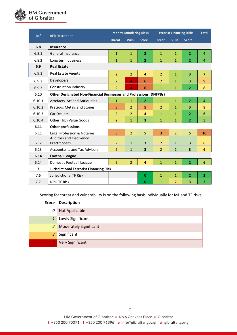

| Ref    | <b>Risk Description</b>                                                   | <b>Money Laundering Risks</b> |                |                         | <b>Terrorist Financing Risks</b> |                |                         | <b>Total</b>   |
|--------|---------------------------------------------------------------------------|-------------------------------|----------------|-------------------------|----------------------------------|----------------|-------------------------|----------------|
|        |                                                                           | <b>Threat</b>                 | <b>Vuln</b>    | <b>Score</b>            | <b>Threat</b>                    | <b>Vuln</b>    | <b>Score</b>            |                |
| 6.8    | <b>Insurance</b>                                                          |                               |                |                         |                                  |                |                         |                |
| 6.8.1  | <b>General Insurance</b>                                                  | $\mathbf{1}$                  | $\mathbf{1}$   | $\overline{2}$          | $\mathbf{1}$                     | $\mathbf{1}$   | $\overline{2}$          | $\overline{a}$ |
| 6.8.2  | Long term business                                                        | $\mathbf{1}$                  | $\mathbf{1}$   | $\overline{2}$          | $\mathbf{1}$                     | $\mathbf{1}$   | $\overline{2}$          | $\overline{4}$ |
| 6.9    | <b>Real Estate</b>                                                        |                               |                |                         |                                  |                |                         |                |
| 6.9.1  | <b>Real Estate Agents</b>                                                 | $\overline{2}$                | $\overline{2}$ | $\overline{a}$          | $\overline{2}$                   | $\mathbf{1}$   | 3                       | $\overline{7}$ |
| 6.9.2  | Developers                                                                | $\overline{2}$                | 4              | 6                       | $\overline{2}$                   | $\mathbf{1}$   | 3                       | 9              |
| 6.9.3  | <b>Construction Industry</b>                                              | $\overline{2}$                | 4              | 6                       | $\mathbf{1}$                     | $\mathbf{1}$   | $\overline{2}$          | 8              |
| 6.10   | <b>Other Designated Non-Financial Businesses and Professions (DNFPBs)</b> |                               |                |                         |                                  |                |                         |                |
| 6.10.1 | Artefacts, Art and Antiquities                                            | $\mathbf{1}$                  | $\mathbf{1}$   | $\overline{2}$          | $\mathbf{1}$                     | $\mathbf{1}$   | $\overline{2}$          | $\overline{4}$ |
| 6.10.2 | <b>Precious Metals and Stones</b>                                         | 3                             | $\overline{2}$ | 5                       | $\overline{2}$                   | $\mathbf{1}$   | 3                       | 8              |
| 6.10.3 | <b>Car Dealers</b>                                                        | $\overline{2}$                | $\overline{2}$ | 4                       | $\mathbf{1}$                     | $\overline{1}$ | $\overline{2}$          | 6              |
| 6.10.4 | Other High Value Goods                                                    | $\overline{2}$                | $\mathbf{1}$   | $\overline{\mathbf{3}}$ | $\mathbf{1}$                     | $\mathbf{1}$   | $\overline{2}$          | 5              |
| 6.11   | <b>Other professions</b>                                                  |                               |                |                         |                                  |                |                         |                |
| 6.11   | Legal Profession & Notaries                                               | $\overline{3}$                | $\overline{2}$ | 5                       | $\overline{3}$                   | $\overline{2}$ | 5                       | 10             |
| 6.12   | Auditors and Insolvency<br>Practitioners                                  | $\overline{2}$                | $\mathbf{1}$   | $\overline{\mathbf{3}}$ | $\overline{2}$                   | $\mathbf{1}$   | $\overline{\mathbf{3}}$ | 6              |
| 6.13   | <b>Accountants and Tax Advisors</b>                                       | $\overline{2}$                | $\mathbf{1}$   | 3                       | $\overline{2}$                   | $\mathbf{1}$   | 3                       | 6              |
| 6.14   | <b>Football League</b>                                                    |                               |                |                         |                                  |                |                         |                |
| 6.14   | Domestic Football League                                                  | $\overline{2}$                | $\overline{2}$ | $\overline{a}$          | $\mathbf{1}$                     | $\mathbf{1}$   | $\overline{2}$          | 6              |
| 7      | <b>Jurisdictional Terrorist Financing Risk</b>                            |                               |                |                         |                                  |                |                         |                |
| 7.6    | <b>Jurisdictional TF Risk</b>                                             |                               |                | $\mathbf{0}$            | $\mathbf{1}$                     | $\mathbf{1}$   | $\overline{2}$          | $\overline{2}$ |
| 7.7    | <b>NPO TF Risk</b>                                                        |                               |                | $\mathbf{0}$            | $\mathbf{1}$                     | $\overline{2}$ | 3                       | 3              |

Scoring for threat and vulnerability is on the following basis individually for ML and TF risks;

|                | Score Description             |
|----------------|-------------------------------|
| 0              | Not Applicable                |
| $\mathbf{1}$   | Lowly Significant             |
| 2              | <b>Moderately Significant</b> |
| $\overline{3}$ | Significant                   |
| Ι4,            | <b>Very Significant</b>       |